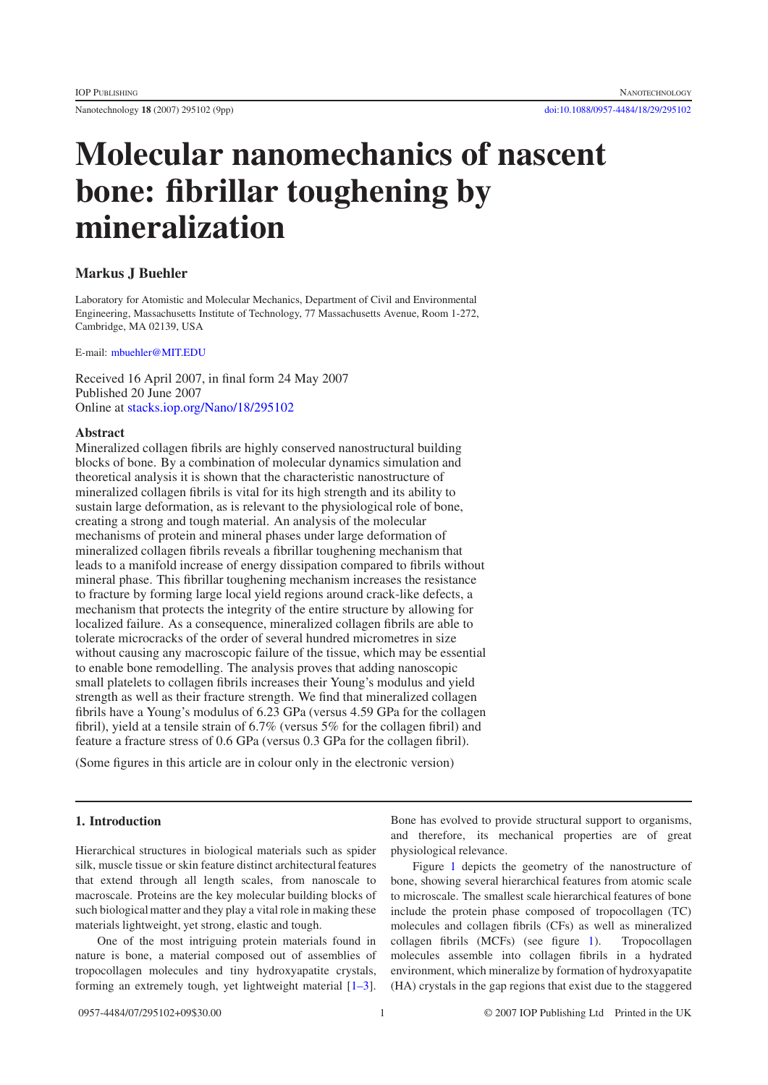Nanotechnology **18** (2007) 295102 (9pp) [doi:10.1088/0957-4484/18/29/295102](http://dx.doi.org/10.1088/0957-4484/18/29/295102)

# **Molecular nanomechanics of nascent bone: fibrillar toughening by mineralization**

# **Markus J Buehler**

Laboratory for Atomistic and Molecular Mechanics, Department of Civil and Environmental Engineering, Massachusetts Institute of Technology, 77 Massachusetts Avenue, Room 1-272, Cambridge, MA 02139, USA

E-mail: [mbuehler@MIT.EDU](mailto:mbuehler@MIT.EDU)

Received 16 April 2007, in final form 24 May 2007 Published 20 June 2007 Online at [stacks.iop.org/Nano/18/295102](http://stacks.iop.org/Nano/18/1)

## **Abstract**

Mineralized collagen fibrils are highly conserved nanostructural building blocks of bone. By a combination of molecular dynamics simulation and theoretical analysis it is shown that the characteristic nanostructure of mineralized collagen fibrils is vital for its high strength and its ability to sustain large deformation, as is relevant to the physiological role of bone, creating a strong and tough material. An analysis of the molecular mechanisms of protein and mineral phases under large deformation of mineralized collagen fibrils reveals a fibrillar toughening mechanism that leads to a manifold increase of energy dissipation compared to fibrils without mineral phase. This fibrillar toughening mechanism increases the resistance to fracture by forming large local yield regions around crack-like defects, a mechanism that protects the integrity of the entire structure by allowing for localized failure. As a consequence, mineralized collagen fibrils are able to tolerate microcracks of the order of several hundred micrometres in size without causing any macroscopic failure of the tissue, which may be essential to enable bone remodelling. The analysis proves that adding nanoscopic small platelets to collagen fibrils increases their Young's modulus and yield strength as well as their fracture strength. We find that mineralized collagen fibrils have a Young's modulus of 6.23 GPa (versus 4.59 GPa for the collagen fibril), yield at a tensile strain of 6.7% (versus 5% for the collagen fibril) and feature a fracture stress of 0.6 GPa (versus 0.3 GPa for the collagen fibril).

(Some figures in this article are in colour only in the electronic version)

# **1. Introduction**

Hierarchical structures in biological materials such as spider silk, muscle tissue or skin feature distinct architectural features that extend through all length scales, from nanoscale to macroscale. Proteins are the key molecular building blocks of such biological matter and they play a vital role in making these materials lightweight, yet strong, elastic and tough.

One of the most intriguing protein materials found in nature is bone, a material composed out of assemblies of tropocollagen molecules and tiny hydroxyapatite crystals, forming an extremely tough, yet lightweight material [\[1–3\]](#page-7-0).

Bone has evolved to provide structural support to organisms, and therefore, its mechanical properties are of great physiological relevance.

Figure [1](#page-1-0) depicts the geometry of the nanostructure of bone, showing several hierarchical features from atomic scale to microscale. The smallest scale hierarchical features of bone include the protein phase composed of tropocollagen (TC) molecules and collagen fibrils (CFs) as well as mineralized collagen fibrils (MCFs) (see figure [1\)](#page-1-0). Tropocollagen molecules assemble into collagen fibrils in a hydrated environment, which mineralize by formation of hydroxyapatite (HA) crystals in the gap regions that exist due to the staggered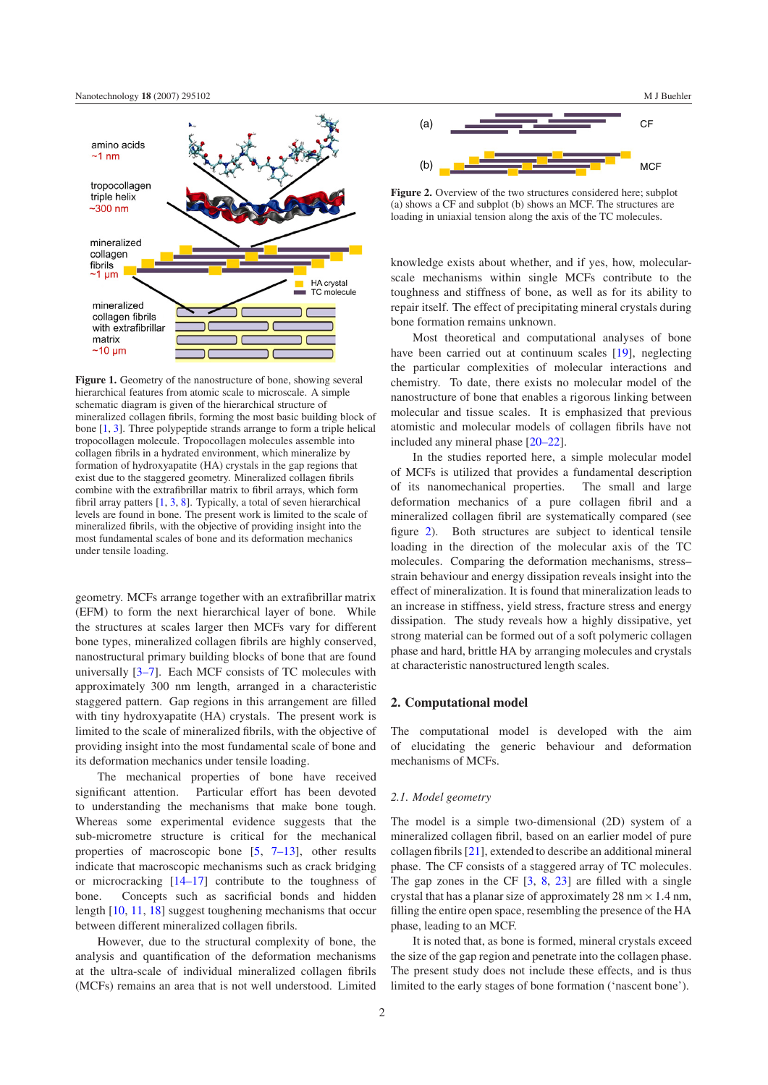<span id="page-1-0"></span>

**Figure 1.** Geometry of the nanostructure of bone, showing several hierarchical features from atomic scale to microscale. A simple schematic diagram is given of the hierarchical structure of mineralized collagen fibrils, forming the most basic building block of bone [\[1,](#page-7-0) [3\]](#page-7-1). Three polypeptide strands arrange to form a triple helical tropocollagen molecule. Tropocollagen molecules assemble into collagen fibrils in a hydrated environment, which mineralize by formation of hydroxyapatite (HA) crystals in the gap regions that exist due to the staggered geometry. Mineralized collagen fibrils combine with the extrafibrillar matrix to fibril arrays, which form fibril array patters [\[1,](#page-7-0) [3,](#page-7-1) [8\]](#page-7-2). Typically, a total of seven hierarchical levels are found in bone. The present work is limited to the scale of mineralized fibrils, with the objective of providing insight into the most fundamental scales of bone and its deformation mechanics under tensile loading.

geometry. MCFs arrange together with an extrafibrillar matrix (EFM) to form the next hierarchical layer of bone. While the structures at scales larger then MCFs vary for different bone types, mineralized collagen fibrils are highly conserved, nanostructural primary building blocks of bone that are found universally [\[3–7\]](#page-7-1). Each MCF consists of TC molecules with approximately 300 nm length, arranged in a characteristic staggered pattern. Gap regions in this arrangement are filled with tiny hydroxyapatite (HA) crystals. The present work is limited to the scale of mineralized fibrils, with the objective of providing insight into the most fundamental scale of bone and its deformation mechanics under tensile loading.

The mechanical properties of bone have received significant attention. Particular effort has been devoted to understanding the mechanisms that make bone tough. Whereas some experimental evidence suggests that the sub-micrometre structure is critical for the mechanical properties of macroscopic bone [\[5,](#page-7-3) [7–13\]](#page-7-4), other results indicate that macroscopic mechanisms such as crack bridging or microcracking [\[14–17\]](#page-7-5) contribute to the toughness of bone. Concepts such as sacrificial bonds and hidden length [\[10,](#page-7-6) [11,](#page-7-7) [18\]](#page-7-8) suggest toughening mechanisms that occur between different mineralized collagen fibrils.

However, due to the structural complexity of bone, the analysis and quantification of the deformation mechanisms at the ultra-scale of individual mineralized collagen fibrils (MCFs) remains an area that is not well understood. Limited

<span id="page-1-1"></span>

Figure 2. Overview of the two structures considered here; subplot (a) shows a CF and subplot (b) shows an MCF. The structures are loading in uniaxial tension along the axis of the TC molecules.

knowledge exists about whether, and if yes, how, molecularscale mechanisms within single MCFs contribute to the toughness and stiffness of bone, as well as for its ability to repair itself. The effect of precipitating mineral crystals during bone formation remains unknown.

Most theoretical and computational analyses of bone have been carried out at continuum scales [\[19\]](#page-7-9), neglecting the particular complexities of molecular interactions and chemistry. To date, there exists no molecular model of the nanostructure of bone that enables a rigorous linking between molecular and tissue scales. It is emphasized that previous atomistic and molecular models of collagen fibrils have not included any mineral phase [\[20–22\]](#page-7-10).

In the studies reported here, a simple molecular model of MCFs is utilized that provides a fundamental description of its nanomechanical properties. The small and large deformation mechanics of a pure collagen fibril and a mineralized collagen fibril are systematically compared (see figure [2\)](#page-1-1). Both structures are subject to identical tensile loading in the direction of the molecular axis of the TC molecules. Comparing the deformation mechanisms, stress– strain behaviour and energy dissipation reveals insight into the effect of mineralization. It is found that mineralization leads to an increase in stiffness, yield stress, fracture stress and energy dissipation. The study reveals how a highly dissipative, yet strong material can be formed out of a soft polymeric collagen phase and hard, brittle HA by arranging molecules and crystals at characteristic nanostructured length scales.

## **2. Computational model**

The computational model is developed with the aim of elucidating the generic behaviour and deformation mechanisms of MCFs.

## *2.1. Model geometry*

The model is a simple two-dimensional (2D) system of a mineralized collagen fibril, based on an earlier model of pure collagen fibrils [\[21\]](#page-7-11), extended to describe an additional mineral phase. The CF consists of a staggered array of TC molecules. The gap zones in the CF  $[3, 8, 23]$  $[3, 8, 23]$  $[3, 8, 23]$  $[3, 8, 23]$  $[3, 8, 23]$  are filled with a single crystal that has a planar size of approximately 28 nm  $\times$  1.4 nm, filling the entire open space, resembling the presence of the HA phase, leading to an MCF.

It is noted that, as bone is formed, mineral crystals exceed the size of the gap region and penetrate into the collagen phase. The present study does not include these effects, and is thus limited to the early stages of bone formation ('nascent bone').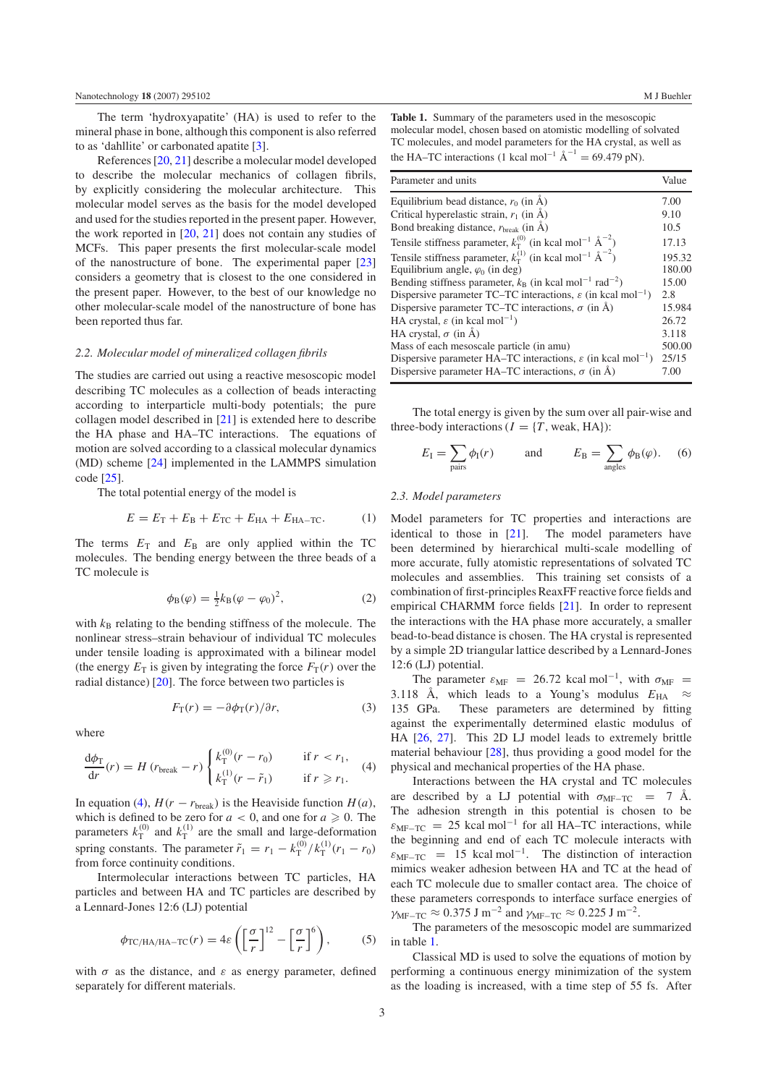The term 'hydroxyapatite' (HA) is used to refer to the mineral phase in bone, although this component is also referred to as 'dahllite' or carbonated apatite [\[3\]](#page-7-1).

References [\[20,](#page-7-10) [21\]](#page-7-11) describe a molecular model developed to describe the molecular mechanics of collagen fibrils, by explicitly considering the molecular architecture. This molecular model serves as the basis for the model developed and used for the studies reported in the present paper. However, the work reported in [\[20,](#page-7-10) [21\]](#page-7-11) does not contain any studies of MCFs. This paper presents the first molecular-scale model of the nanostructure of bone. The experimental paper [\[23\]](#page-7-12) considers a geometry that is closest to the one considered in the present paper. However, to the best of our knowledge no other molecular-scale model of the nanostructure of bone has been reported thus far.

#### *2.2. Molecular model of mineralized collagen fibrils*

The studies are carried out using a reactive mesoscopic model describing TC molecules as a collection of beads interacting according to interparticle multi-body potentials; the pure collagen model described in [\[21\]](#page-7-11) is extended here to describe the HA phase and HA–TC interactions. The equations of motion are solved according to a classical molecular dynamics (MD) scheme [\[24\]](#page-7-13) implemented in the LAMMPS simulation code [\[25\]](#page-7-14).

The total potential energy of the model is

$$
E = E_{\rm T} + E_{\rm B} + E_{\rm TC} + E_{\rm HA} + E_{\rm HA-TC}.
$$
 (1)

The terms  $E_T$  and  $E_B$  are only applied within the TC molecules. The bending energy between the three beads of a TC molecule is

$$
\phi_{\mathcal{B}}(\varphi) = \frac{1}{2}k_{\mathcal{B}}(\varphi - \varphi_0)^2, \tag{2}
$$

<span id="page-2-0"></span>with  $k_B$  relating to the bending stiffness of the molecule. The nonlinear stress–strain behaviour of individual TC molecules under tensile loading is approximated with a bilinear model (the energy  $E_T$  is given by integrating the force  $F_T(r)$  over the radial distance) [\[20\]](#page-7-10). The force between two particles is

$$
F_{\rm T}(r) = -\partial \phi_{\rm T}(r)/\partial r,\tag{3}
$$

where

$$
\frac{d\phi_T}{dr}(r) = H\left(r_{\text{break}} - r\right) \begin{cases} k_T^{(0)}(r - r_0) & \text{if } r < r_1, \\ k_T^{(1)}(r - \tilde{r}_1) & \text{if } r \ge r_1. \end{cases} \tag{4}
$$

In equation [\(4\)](#page-2-0),  $H(r - r_{break})$  is the Heaviside function  $H(a)$ , which is defined to be zero for  $a < 0$ , and one for  $a \ge 0$ . The parameters  $k_{\text{T}}^{(0)}$  and  $k_{\text{T}}^{(1)}$  are the small and large-deformation spring constants. The parameter  $\tilde{r}_1 = r_1 - k_{\rm T}^{(0)}/k_{\rm T}^{(1)}(r_1 - r_0)$ from force continuity conditions.

Intermolecular interactions between TC particles, HA particles and between HA and TC particles are described by a Lennard-Jones 12:6 (LJ) potential

$$
\phi_{\text{TC/HA/HA-TC}}(r) = 4\varepsilon \left( \left[ \frac{\sigma}{r} \right]^{12} - \left[ \frac{\sigma}{r} \right]^{6} \right),\tag{5}
$$

with  $\sigma$  as the distance, and  $\varepsilon$  as energy parameter, defined separately for different materials.

<span id="page-2-1"></span>**Table 1.** Summary of the parameters used in the mesoscopic molecular model, chosen based on atomistic modelling of solvated TC molecules, and model parameters for the HA crystal, as well as the HA–TC interactions (1 kcal mol<sup>-1</sup>  $\text{\AA}^{-1} = 69.479 \text{ pN}$ ).

| Parameter and units                                                                           | Value  |
|-----------------------------------------------------------------------------------------------|--------|
| Equilibrium bead distance, $r_0$ (in A)                                                       | 7.00   |
| Critical hyperelastic strain, $r_1$ (in Å)                                                    | 9.10   |
| Bond breaking distance, $r_{\text{break}}$ (in Å)                                             | 10.5   |
| Tensile stiffness parameter, $k_{\rm T}^{(0)}$ (in kcal mol <sup>-1</sup> $\text{\AA}^{-2}$ ) | 17.13  |
| Tensile stiffness parameter, $k_{\rm T}^{(1)}$ (in kcal mol <sup>-1</sup> $\text{\AA}^{-2}$ ) | 195.32 |
| Equilibrium angle, $\varphi_0$ (in deg)                                                       | 180.00 |
| Bending stiffness parameter, $k_B$ (in kcal mol <sup>-1</sup> rad <sup>-2</sup> )             | 15.00  |
| Dispersive parameter TC–TC interactions, $\varepsilon$ (in kcal mol <sup>-1</sup> )           | 2.8    |
| Dispersive parameter TC–TC interactions, $\sigma$ (in Å)                                      | 15.984 |
| HA crystal, $\varepsilon$ (in kcal mol <sup>-1</sup> )                                        | 26.72  |
| HA crystal, $\sigma$ (in Å)                                                                   | 3.118  |
| Mass of each mesoscale particle (in amu)                                                      | 500.00 |
| Dispersive parameter HA–TC interactions, $\varepsilon$ (in kcal mol <sup>-1</sup> )           | 25/15  |
| Dispersive parameter HA–TC interactions, $\sigma$ (in A)                                      | 7.00   |

The total energy is given by the sum over all pair-wise and three-body interactions ( $I = \{T, \text{weak}, \text{HA}\}\$ ):

$$
E_{\rm I} = \sum_{\text{pairs}} \phi_{\rm I}(r) \quad \text{and} \quad E_{\rm B} = \sum_{\text{angles}} \phi_{\rm B}(\varphi). \quad (6)
$$

## *2.3. Model parameters*

Model parameters for TC properties and interactions are identical to those in [\[21\]](#page-7-11). The model parameters have been determined by hierarchical multi-scale modelling of more accurate, fully atomistic representations of solvated TC molecules and assemblies. This training set consists of a combination of first-principles ReaxFF reactive force fields and empirical CHARMM force fields [\[21\]](#page-7-11). In order to represent the interactions with the HA phase more accurately, a smaller bead-to-bead distance is chosen. The HA crystal is represented by a simple 2D triangular lattice described by a Lennard-Jones 12:6 (LJ) potential.

The parameter  $\varepsilon_{MF}$  = 26.72 kcal mol<sup>-1</sup>, with  $\sigma_{MF}$  = 3.118 Å, which leads to a Young's modulus  $E_{HA} \approx$ 135 GPa. These parameters are determined by fitting against the experimentally determined elastic modulus of HA [\[26,](#page-7-15) [27\]](#page-7-16). This 2D LJ model leads to extremely brittle material behaviour [\[28\]](#page-7-17), thus providing a good model for the physical and mechanical properties of the HA phase.

Interactions between the HA crystal and TC molecules are described by a LJ potential with  $\sigma_{MF-TC}$  = 7 Å. The adhesion strength in this potential is chosen to be  $\varepsilon_{MF-TC}$  = 25 kcal mol<sup>-1</sup> for all HA–TC interactions, while the beginning and end of each TC molecule interacts with  $\varepsilon_{MF-TC}$  = 15 kcal mol<sup>-1</sup>. The distinction of interaction mimics weaker adhesion between HA and TC at the head of each TC molecule due to smaller contact area. The choice of these parameters corresponds to interface surface energies of  $\gamma_{\text{MF-TC}} \approx 0.375 \text{ J m}^{-2}$  and  $\gamma_{\text{MF-TC}} \approx 0.225 \text{ J m}^{-2}$ .

The parameters of the mesoscopic model are summarized in table [1.](#page-2-1)

Classical MD is used to solve the equations of motion by performing a continuous energy minimization of the system as the loading is increased, with a time step of 55 fs. After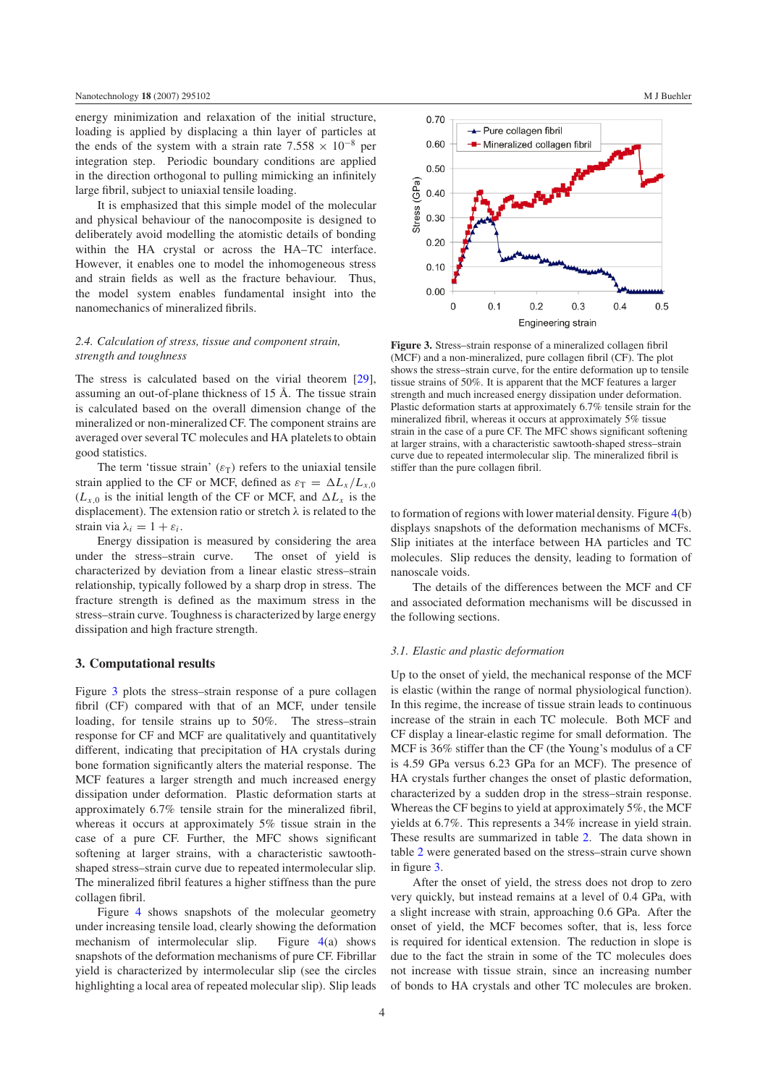energy minimization and relaxation of the initial structure, loading is applied by displacing a thin layer of particles at the ends of the system with a strain rate  $7.558 \times 10^{-8}$  per integration step. Periodic boundary conditions are applied in the direction orthogonal to pulling mimicking an infinitely large fibril, subject to uniaxial tensile loading.

It is emphasized that this simple model of the molecular and physical behaviour of the nanocomposite is designed to deliberately avoid modelling the atomistic details of bonding within the HA crystal or across the HA–TC interface. However, it enables one to model the inhomogeneous stress and strain fields as well as the fracture behaviour. Thus, the model system enables fundamental insight into the nanomechanics of mineralized fibrils.

## *2.4. Calculation of stress, tissue and component strain, strength and toughness*

The stress is calculated based on the virial theorem [\[29\]](#page-7-18), assuming an out-of-plane thickness of  $15 \text{ Å}$ . The tissue strain is calculated based on the overall dimension change of the mineralized or non-mineralized CF. The component strains are averaged over several TC molecules and HA platelets to obtain good statistics.

The term 'tissue strain'  $(\varepsilon_T)$  refers to the uniaxial tensile strain applied to the CF or MCF, defined as  $\varepsilon_T = \Delta L_x / L_{x,0}$  $(L_{x,0}$  is the initial length of the CF or MCF, and  $\Delta L_x$  is the displacement). The extension ratio or stretch  $\lambda$  is related to the strain via  $\lambda_i = 1 + \varepsilon_i$ .

Energy dissipation is measured by considering the area under the stress–strain curve. The onset of yield is characterized by deviation from a linear elastic stress–strain relationship, typically followed by a sharp drop in stress. The fracture strength is defined as the maximum stress in the stress–strain curve. Toughness is characterized by large energy dissipation and high fracture strength.

# **3. Computational results**

Figure [3](#page-3-0) plots the stress–strain response of a pure collagen fibril (CF) compared with that of an MCF, under tensile loading, for tensile strains up to 50%. The stress–strain response for CF and MCF are qualitatively and quantitatively different, indicating that precipitation of HA crystals during bone formation significantly alters the material response. The MCF features a larger strength and much increased energy dissipation under deformation. Plastic deformation starts at approximately 6.7% tensile strain for the mineralized fibril, whereas it occurs at approximately 5% tissue strain in the case of a pure CF. Further, the MFC shows significant softening at larger strains, with a characteristic sawtoothshaped stress–strain curve due to repeated intermolecular slip. The mineralized fibril features a higher stiffness than the pure collagen fibril.

Figure [4](#page-4-0) shows snapshots of the molecular geometry under increasing tensile load, clearly showing the deformation mechanism of intermolecular slip. Figure [4\(](#page-4-0)a) shows snapshots of the deformation mechanisms of pure CF. Fibrillar yield is characterized by intermolecular slip (see the circles highlighting a local area of repeated molecular slip). Slip leads

<span id="page-3-0"></span>

**Figure 3.** Stress–strain response of a mineralized collagen fibril (MCF) and a non-mineralized, pure collagen fibril (CF). The plot shows the stress–strain curve, for the entire deformation up to tensile tissue strains of 50%. It is apparent that the MCF features a larger strength and much increased energy dissipation under deformation. Plastic deformation starts at approximately 6.7% tensile strain for the mineralized fibril, whereas it occurs at approximately 5% tissue strain in the case of a pure CF. The MFC shows significant softening at larger strains, with a characteristic sawtooth-shaped stress–strain curve due to repeated intermolecular slip. The mineralized fibril is stiffer than the pure collagen fibril.

to formation of regions with lower material density. Figure [4\(](#page-4-0)b) displays snapshots of the deformation mechanisms of MCFs. Slip initiates at the interface between HA particles and TC molecules. Slip reduces the density, leading to formation of nanoscale voids.

The details of the differences between the MCF and CF and associated deformation mechanisms will be discussed in the following sections.

#### *3.1. Elastic and plastic deformation*

Up to the onset of yield, the mechanical response of the MCF is elastic (within the range of normal physiological function). In this regime, the increase of tissue strain leads to continuous increase of the strain in each TC molecule. Both MCF and CF display a linear-elastic regime for small deformation. The MCF is 36% stiffer than the CF (the Young's modulus of a CF is 4.59 GPa versus 6.23 GPa for an MCF). The presence of HA crystals further changes the onset of plastic deformation, characterized by a sudden drop in the stress–strain response. Whereas the CF begins to yield at approximately 5%, the MCF yields at 6.7%. This represents a 34% increase in yield strain. These results are summarized in table [2.](#page-4-1) The data shown in table [2](#page-4-1) were generated based on the stress–strain curve shown in figure [3.](#page-3-0)

After the onset of yield, the stress does not drop to zero very quickly, but instead remains at a level of 0.4 GPa, with a slight increase with strain, approaching 0.6 GPa. After the onset of yield, the MCF becomes softer, that is, less force is required for identical extension. The reduction in slope is due to the fact the strain in some of the TC molecules does not increase with tissue strain, since an increasing number of bonds to HA crystals and other TC molecules are broken.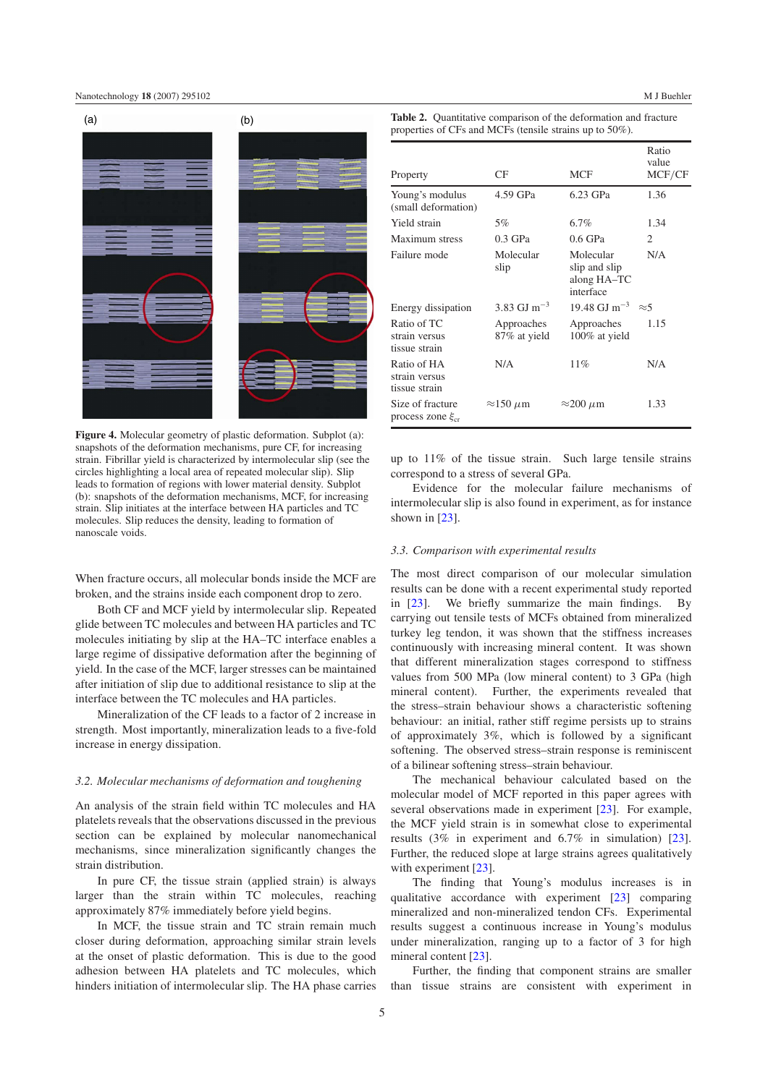#### Nanotechnology **18** (2007) 295102 M J Buehler

<span id="page-4-0"></span>

**Figure 4.** Molecular geometry of plastic deformation. Subplot (a): snapshots of the deformation mechanisms, pure CF, for increasing strain. Fibrillar yield is characterized by intermolecular slip (see the circles highlighting a local area of repeated molecular slip). Slip leads to formation of regions with lower material density. Subplot (b): snapshots of the deformation mechanisms, MCF, for increasing strain. Slip initiates at the interface between HA particles and TC molecules. Slip reduces the density, leading to formation of nanoscale voids.

When fracture occurs, all molecular bonds inside the MCF are broken, and the strains inside each component drop to zero.

Both CF and MCF yield by intermolecular slip. Repeated glide between TC molecules and between HA particles and TC molecules initiating by slip at the HA–TC interface enables a large regime of dissipative deformation after the beginning of yield. In the case of the MCF, larger stresses can be maintained after initiation of slip due to additional resistance to slip at the interface between the TC molecules and HA particles.

Mineralization of the CF leads to a factor of 2 increase in strength. Most importantly, mineralization leads to a five-fold increase in energy dissipation.

#### *3.2. Molecular mechanisms of deformation and toughening*

An analysis of the strain field within TC molecules and HA platelets reveals that the observations discussed in the previous section can be explained by molecular nanomechanical mechanisms, since mineralization significantly changes the strain distribution.

In pure CF, the tissue strain (applied strain) is always larger than the strain within TC molecules, reaching approximately 87% immediately before yield begins.

In MCF, the tissue strain and TC strain remain much closer during deformation, approaching similar strain levels at the onset of plastic deformation. This is due to the good adhesion between HA platelets and TC molecules, which hinders initiation of intermolecular slip. The HA phase carries

<span id="page-4-1"></span>**Table 2.** Quantitative comparison of the deformation and fracture properties of CFs and MCFs (tensile strains up to 50%).

| Property                                      | CF                                   | MCF                                                    | Ratio<br>value<br>MCF/CF |
|-----------------------------------------------|--------------------------------------|--------------------------------------------------------|--------------------------|
| Young's modulus<br>(small deformation)        | 4.59 GPa                             | 6.23 GPa                                               | 1.36                     |
| Yield strain                                  | 5%                                   | 6.7%                                                   | 1.34                     |
| Maximum stress                                | $0.3$ GPa                            | $0.6$ GPa                                              | 2                        |
| Failure mode                                  | Molecular<br>slip                    | Molecular<br>slip and slip<br>along HA-TC<br>interface | N/A                      |
| Energy dissipation                            | 3.83 GJ m <sup><math>-3</math></sup> | 19.48 GJ m <sup>-3</sup> $\approx$ 5                   |                          |
| Ratio of TC<br>strain versus<br>tissue strain | Approaches<br>87% at yield           | Approaches<br>100% at yield                            | 1.15                     |
| Ratio of HA<br>strain versus<br>tissue strain | N/A                                  | 11%                                                    | N/A                      |
| Size of fracture<br>process zone $\xi_{cr}$   | $\approx$ 150 $\mu$ m                | $\approx$ 200 $\mu$ m                                  | 1.33                     |

up to 11% of the tissue strain. Such large tensile strains correspond to a stress of several GPa.

Evidence for the molecular failure mechanisms of intermolecular slip is also found in experiment, as for instance shown in [\[23\]](#page-7-12).

#### *3.3. Comparison with experimental results*

The most direct comparison of our molecular simulation results can be done with a recent experimental study reported in [\[23\]](#page-7-12). We briefly summarize the main findings. By carrying out tensile tests of MCFs obtained from mineralized turkey leg tendon, it was shown that the stiffness increases continuously with increasing mineral content. It was shown that different mineralization stages correspond to stiffness values from 500 MPa (low mineral content) to 3 GPa (high mineral content). Further, the experiments revealed that the stress–strain behaviour shows a characteristic softening behaviour: an initial, rather stiff regime persists up to strains of approximately 3%, which is followed by a significant softening. The observed stress–strain response is reminiscent of a bilinear softening stress–strain behaviour.

The mechanical behaviour calculated based on the molecular model of MCF reported in this paper agrees with several observations made in experiment [\[23\]](#page-7-12). For example, the MCF yield strain is in somewhat close to experimental results (3% in experiment and 6.7% in simulation) [\[23\]](#page-7-12). Further, the reduced slope at large strains agrees qualitatively with experiment [\[23\]](#page-7-12).

The finding that Young's modulus increases is in qualitative accordance with experiment [\[23\]](#page-7-12) comparing mineralized and non-mineralized tendon CFs. Experimental results suggest a continuous increase in Young's modulus under mineralization, ranging up to a factor of 3 for high mineral content [\[23\]](#page-7-12).

Further, the finding that component strains are smaller than tissue strains are consistent with experiment in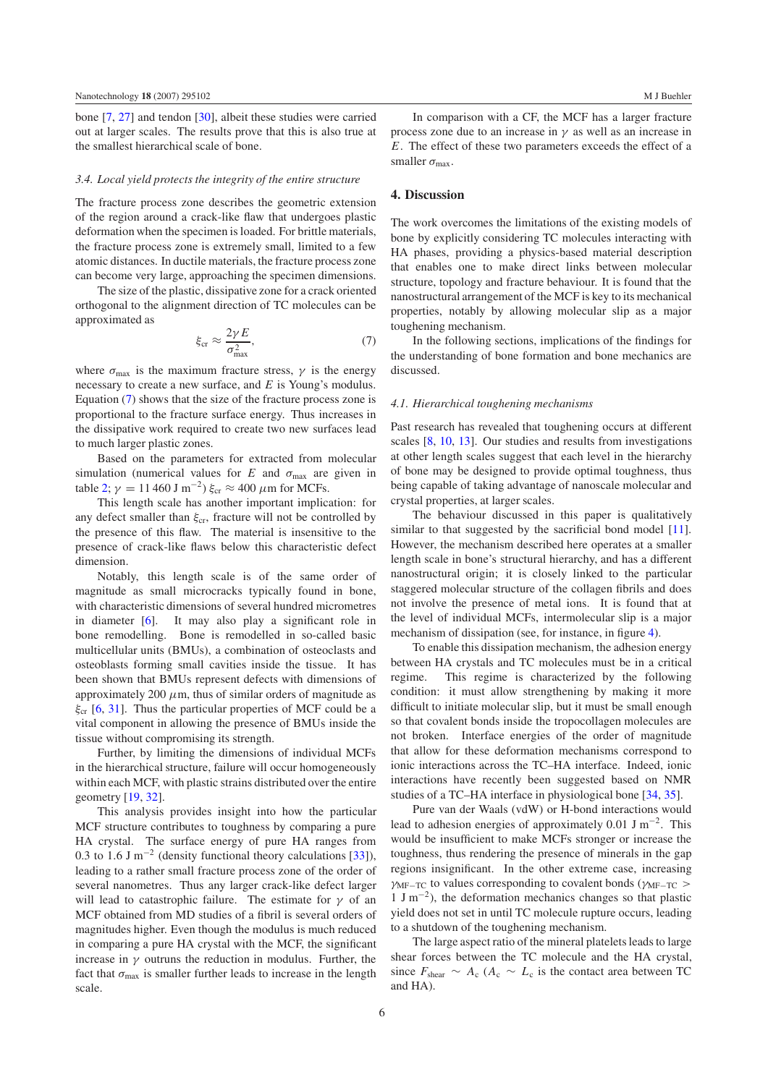bone [\[7,](#page-7-4) [27\]](#page-7-16) and tendon [\[30\]](#page-8-0), albeit these studies were carried out at larger scales. The results prove that this is also true at the smallest hierarchical scale of bone.

#### *3.4. Local yield protects the integrity of the entire structure*

The fracture process zone describes the geometric extension of the region around a crack-like flaw that undergoes plastic deformation when the specimen is loaded. For brittle materials, the fracture process zone is extremely small, limited to a few atomic distances. In ductile materials, the fracture process zone can become very large, approaching the specimen dimensions.

<span id="page-5-0"></span>The size of the plastic, dissipative zone for a crack oriented orthogonal to the alignment direction of TC molecules can be approximated as

$$
\xi_{\rm cr} \approx \frac{2\gamma E}{\sigma_{\rm max}^2},\tag{7}
$$

where  $\sigma_{\text{max}}$  is the maximum fracture stress,  $\gamma$  is the energy necessary to create a new surface, and *E* is Young's modulus. Equation [\(7\)](#page-5-0) shows that the size of the fracture process zone is proportional to the fracture surface energy. Thus increases in the dissipative work required to create two new surfaces lead to much larger plastic zones.

Based on the parameters for extracted from molecular simulation (numerical values for *E* and  $\sigma_{\text{max}}$  are given in table [2;](#page-4-1)  $\gamma = 11\,460 \text{ J m}^{-2}$ )  $\xi_{\text{cr}} \approx 400 \mu \text{m}$  for MCFs.

This length scale has another important implication: for any defect smaller than  $\xi_{cr}$ , fracture will not be controlled by the presence of this flaw. The material is insensitive to the presence of crack-like flaws below this characteristic defect dimension.

Notably, this length scale is of the same order of magnitude as small microcracks typically found in bone, with characteristic dimensions of several hundred micrometres in diameter [\[6\]](#page-7-19). It may also play a significant role in bone remodelling. Bone is remodelled in so-called basic multicellular units (BMUs), a combination of osteoclasts and osteoblasts forming small cavities inside the tissue. It has been shown that BMUs represent defects with dimensions of approximately 200  $\mu$ m, thus of similar orders of magnitude as  $\xi_{cr}$  [\[6,](#page-7-19) [31\]](#page-8-1). Thus the particular properties of MCF could be a vital component in allowing the presence of BMUs inside the tissue without compromising its strength.

Further, by limiting the dimensions of individual MCFs in the hierarchical structure, failure will occur homogeneously within each MCF, with plastic strains distributed over the entire geometry [\[19,](#page-7-9) [32\]](#page-8-2).

This analysis provides insight into how the particular MCF structure contributes to toughness by comparing a pure HA crystal. The surface energy of pure HA ranges from 0.3 to 1.6 J m<sup>-2</sup> (density functional theory calculations [\[33\]](#page-8-3)), leading to a rather small fracture process zone of the order of several nanometres. Thus any larger crack-like defect larger will lead to catastrophic failure. The estimate for  $\gamma$  of an MCF obtained from MD studies of a fibril is several orders of magnitudes higher. Even though the modulus is much reduced in comparing a pure HA crystal with the MCF, the significant increase in  $\gamma$  outruns the reduction in modulus. Further, the fact that  $\sigma_{\text{max}}$  is smaller further leads to increase in the length scale.

In comparison with a CF, the MCF has a larger fracture process zone due to an increase in  $\gamma$  as well as an increase in *E*. The effect of these two parameters exceeds the effect of a smaller  $\sigma_{\text{max}}$ .

## **4. Discussion**

The work overcomes the limitations of the existing models of bone by explicitly considering TC molecules interacting with HA phases, providing a physics-based material description that enables one to make direct links between molecular structure, topology and fracture behaviour. It is found that the nanostructural arrangement of the MCF is key to its mechanical properties, notably by allowing molecular slip as a major toughening mechanism.

In the following sections, implications of the findings for the understanding of bone formation and bone mechanics are discussed.

#### *4.1. Hierarchical toughening mechanisms*

Past research has revealed that toughening occurs at different scales [\[8,](#page-7-2) [10,](#page-7-6) [13\]](#page-7-20). Our studies and results from investigations at other length scales suggest that each level in the hierarchy of bone may be designed to provide optimal toughness, thus being capable of taking advantage of nanoscale molecular and crystal properties, at larger scales.

The behaviour discussed in this paper is qualitatively similar to that suggested by the sacrificial bond model [\[11\]](#page-7-7). However, the mechanism described here operates at a smaller length scale in bone's structural hierarchy, and has a different nanostructural origin; it is closely linked to the particular staggered molecular structure of the collagen fibrils and does not involve the presence of metal ions. It is found that at the level of individual MCFs, intermolecular slip is a major mechanism of dissipation (see, for instance, in figure [4\)](#page-4-0).

To enable this dissipation mechanism, the adhesion energy between HA crystals and TC molecules must be in a critical regime. This regime is characterized by the following condition: it must allow strengthening by making it more difficult to initiate molecular slip, but it must be small enough so that covalent bonds inside the tropocollagen molecules are not broken. Interface energies of the order of magnitude that allow for these deformation mechanisms correspond to ionic interactions across the TC–HA interface. Indeed, ionic interactions have recently been suggested based on NMR studies of a TC–HA interface in physiological bone [\[34,](#page-8-4) [35\]](#page-8-5).

Pure van der Waals (vdW) or H-bond interactions would lead to adhesion energies of approximately 0.01 J m<sup>-2</sup>. This would be insufficient to make MCFs stronger or increase the toughness, thus rendering the presence of minerals in the gap regions insignificant. In the other extreme case, increasing  $\gamma_{MF-TC}$  to values corresponding to covalent bonds ( $\gamma_{MF-TC}$ ) 1 Jm<sup>−</sup>2), the deformation mechanics changes so that plastic yield does not set in until TC molecule rupture occurs, leading to a shutdown of the toughening mechanism.

The large aspect ratio of the mineral platelets leads to large shear forces between the TC molecule and the HA crystal, since  $F_{\text{shear}} \sim A_c (A_c \sim L_c \text{ is the contact area between TC})$ and HA).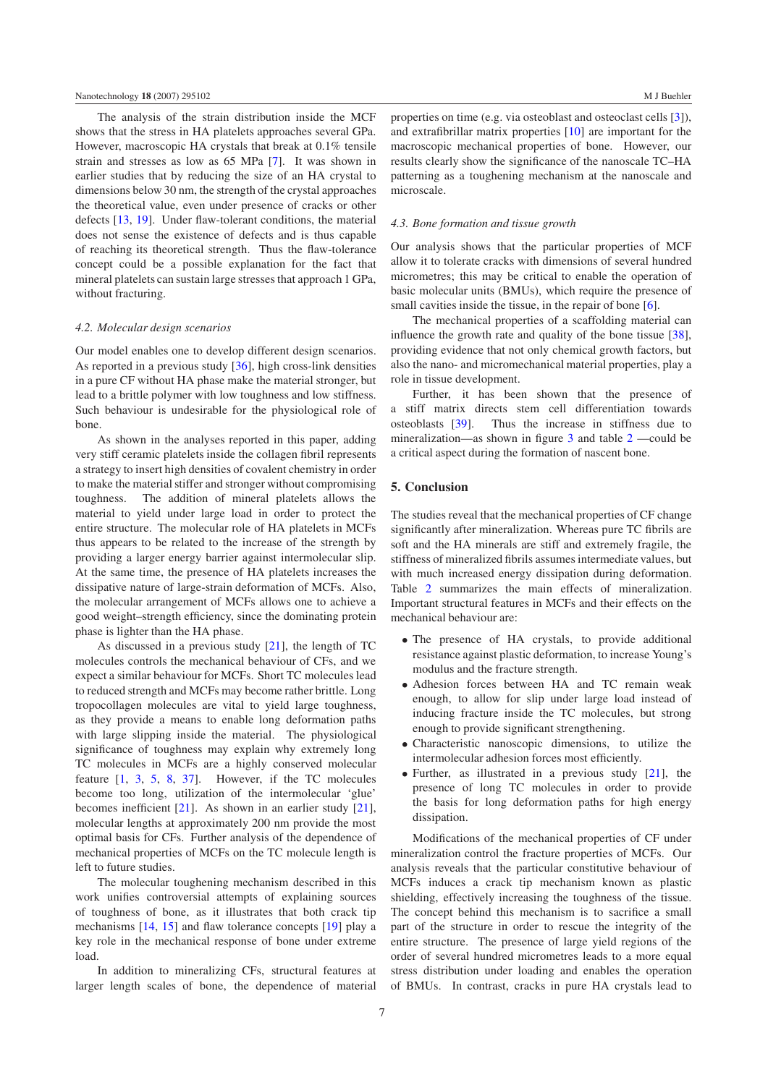The analysis of the strain distribution inside the MCF shows that the stress in HA platelets approaches several GPa. However, macroscopic HA crystals that break at 0.1% tensile strain and stresses as low as 65 MPa [\[7\]](#page-7-4). It was shown in earlier studies that by reducing the size of an HA crystal to dimensions below 30 nm, the strength of the crystal approaches the theoretical value, even under presence of cracks or other defects [\[13,](#page-7-20) [19\]](#page-7-9). Under flaw-tolerant conditions, the material does not sense the existence of defects and is thus capable of reaching its theoretical strength. Thus the flaw-tolerance concept could be a possible explanation for the fact that mineral platelets can sustain large stresses that approach 1 GPa, without fracturing.

#### *4.2. Molecular design scenarios*

Our model enables one to develop different design scenarios. As reported in a previous study [\[36\]](#page-8-6), high cross-link densities in a pure CF without HA phase make the material stronger, but lead to a brittle polymer with low toughness and low stiffness. Such behaviour is undesirable for the physiological role of bone.

As shown in the analyses reported in this paper, adding very stiff ceramic platelets inside the collagen fibril represents a strategy to insert high densities of covalent chemistry in order to make the material stiffer and stronger without compromising toughness. The addition of mineral platelets allows the material to yield under large load in order to protect the entire structure. The molecular role of HA platelets in MCFs thus appears to be related to the increase of the strength by providing a larger energy barrier against intermolecular slip. At the same time, the presence of HA platelets increases the dissipative nature of large-strain deformation of MCFs. Also, the molecular arrangement of MCFs allows one to achieve a good weight–strength efficiency, since the dominating protein phase is lighter than the HA phase.

As discussed in a previous study [\[21\]](#page-7-11), the length of TC molecules controls the mechanical behaviour of CFs, and we expect a similar behaviour for MCFs. Short TC molecules lead to reduced strength and MCFs may become rather brittle. Long tropocollagen molecules are vital to yield large toughness, as they provide a means to enable long deformation paths with large slipping inside the material. The physiological significance of toughness may explain why extremely long TC molecules in MCFs are a highly conserved molecular feature [\[1,](#page-7-0) [3,](#page-7-1) [5,](#page-7-3) [8,](#page-7-2) [37\]](#page-8-7). However, if the TC molecules become too long, utilization of the intermolecular 'glue' becomes inefficient [\[21\]](#page-7-11). As shown in an earlier study [\[21\]](#page-7-11), molecular lengths at approximately 200 nm provide the most optimal basis for CFs. Further analysis of the dependence of mechanical properties of MCFs on the TC molecule length is left to future studies.

The molecular toughening mechanism described in this work unifies controversial attempts of explaining sources of toughness of bone, as it illustrates that both crack tip mechanisms [\[14,](#page-7-5) [15\]](#page-7-21) and flaw tolerance concepts [\[19\]](#page-7-9) play a key role in the mechanical response of bone under extreme load.

In addition to mineralizing CFs, structural features at larger length scales of bone, the dependence of material

properties on time (e.g. via osteoblast and osteoclast cells [\[3\]](#page-7-1)), and extrafibrillar matrix properties [\[10\]](#page-7-6) are important for the macroscopic mechanical properties of bone. However, our results clearly show the significance of the nanoscale TC–HA patterning as a toughening mechanism at the nanoscale and microscale.

#### *4.3. Bone formation and tissue growth*

Our analysis shows that the particular properties of MCF allow it to tolerate cracks with dimensions of several hundred micrometres; this may be critical to enable the operation of basic molecular units (BMUs), which require the presence of small cavities inside the tissue, in the repair of bone [\[6\]](#page-7-19).

The mechanical properties of a scaffolding material can influence the growth rate and quality of the bone tissue [\[38\]](#page-8-8), providing evidence that not only chemical growth factors, but also the nano- and micromechanical material properties, play a role in tissue development.

Further, it has been shown that the presence of a stiff matrix directs stem cell differentiation towards osteoblasts [\[39\]](#page-8-9). Thus the increase in stiffness due to mineralization—as shown in figure [3](#page-3-0) and table [2](#page-4-1) —could be a critical aspect during the formation of nascent bone.

## **5. Conclusion**

The studies reveal that the mechanical properties of CF change significantly after mineralization. Whereas pure TC fibrils are soft and the HA minerals are stiff and extremely fragile, the stiffness of mineralized fibrils assumes intermediate values, but with much increased energy dissipation during deformation. Table [2](#page-4-1) summarizes the main effects of mineralization. Important structural features in MCFs and their effects on the mechanical behaviour are:

- The presence of HA crystals, to provide additional resistance against plastic deformation, to increase Young's modulus and the fracture strength.
- Adhesion forces between HA and TC remain weak enough, to allow for slip under large load instead of inducing fracture inside the TC molecules, but strong enough to provide significant strengthening.
- Characteristic nanoscopic dimensions, to utilize the intermolecular adhesion forces most efficiently.
- Further, as illustrated in a previous study [\[21\]](#page-7-11), the presence of long TC molecules in order to provide the basis for long deformation paths for high energy dissipation.

Modifications of the mechanical properties of CF under mineralization control the fracture properties of MCFs. Our analysis reveals that the particular constitutive behaviour of MCFs induces a crack tip mechanism known as plastic shielding, effectively increasing the toughness of the tissue. The concept behind this mechanism is to sacrifice a small part of the structure in order to rescue the integrity of the entire structure. The presence of large yield regions of the order of several hundred micrometres leads to a more equal stress distribution under loading and enables the operation of BMUs. In contrast, cracks in pure HA crystals lead to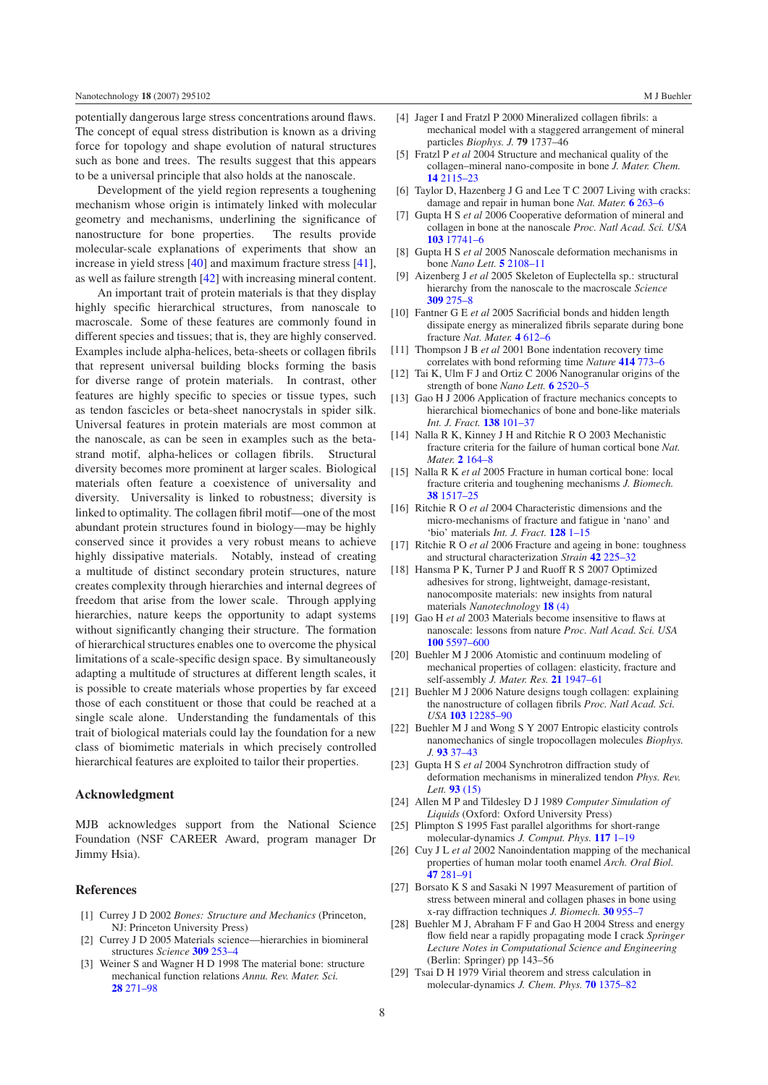potentially dangerous large stress concentrations around flaws. The concept of equal stress distribution is known as a driving force for topology and shape evolution of natural structures such as bone and trees. The results suggest that this appears to be a universal principle that also holds at the nanoscale.

Development of the yield region represents a toughening mechanism whose origin is intimately linked with molecular geometry and mechanisms, underlining the significance of nanostructure for bone properties. The results provide molecular-scale explanations of experiments that show an increase in yield stress [\[40\]](#page-8-10) and maximum fracture stress [\[41\]](#page-8-11), as well as failure strength [\[42\]](#page-8-12) with increasing mineral content.

An important trait of protein materials is that they display highly specific hierarchical structures, from nanoscale to macroscale. Some of these features are commonly found in different species and tissues; that is, they are highly conserved. Examples include alpha-helices, beta-sheets or collagen fibrils that represent universal building blocks forming the basis for diverse range of protein materials. In contrast, other features are highly specific to species or tissue types, such as tendon fascicles or beta-sheet nanocrystals in spider silk. Universal features in protein materials are most common at the nanoscale, as can be seen in examples such as the betastrand motif, alpha-helices or collagen fibrils. Structural diversity becomes more prominent at larger scales. Biological materials often feature a coexistence of universality and diversity. Universality is linked to robustness; diversity is linked to optimality. The collagen fibril motif—one of the most abundant protein structures found in biology—may be highly conserved since it provides a very robust means to achieve highly dissipative materials. Notably, instead of creating a multitude of distinct secondary protein structures, nature creates complexity through hierarchies and internal degrees of freedom that arise from the lower scale. Through applying hierarchies, nature keeps the opportunity to adapt systems without significantly changing their structure. The formation of hierarchical structures enables one to overcome the physical limitations of a scale-specific design space. By simultaneously adapting a multitude of structures at different length scales, it is possible to create materials whose properties by far exceed those of each constituent or those that could be reached at a single scale alone. Understanding the fundamentals of this trait of biological materials could lay the foundation for a new class of biomimetic materials in which precisely controlled hierarchical features are exploited to tailor their properties.

## **Acknowledgment**

<span id="page-7-0"></span>MJB acknowledges support from the National Science Foundation (NSF CAREER Award, program manager Dr Jimmy Hsia).

## <span id="page-7-1"></span>**References**

- [1] Currey J D 2002 *Bones: Structure and Mechanics* (Princeton, NJ: Princeton University Press)
- [2] Currey J D 2005 Materials science—hierarchies in biomineral structures *Science* **309** [253–4](http://dx.doi.org/10.1126/science.1113954)
- [3] Weiner S and Wagner H D 1998 The material bone: structure mechanical function relations *Annu. Rev. Mater. Sci.* **28** [271–98](http://dx.doi.org/10.1146/annurev.matsci.28.1.271)
- <span id="page-7-19"></span><span id="page-7-4"></span><span id="page-7-3"></span>[4] Jager I and Fratzl P 2000 Mineralized collagen fibrils: a mechanical model with a staggered arrangement of mineral particles *Biophys. J.* **79** 1737–46
- <span id="page-7-2"></span>[5] Fratzl P *et al* 2004 Structure and mechanical quality of the collagen–mineral nano-composite in bone *J. Mater. Chem.* **14** [2115–23](http://dx.doi.org/10.1039/b402005g)
- [6] Taylor D, Hazenberg J G and Lee T C 2007 Living with cracks: damage and repair in human bone *Nat. Mater.* **6** [263–6](http://dx.doi.org/10.1038/nmat1866)
- <span id="page-7-6"></span>[7] Gupta H S *et al* 2006 Cooperative deformation of mineral and collagen in bone at the nanoscale *Proc. Natl Acad. Sci. USA* **103** [17741–6](http://dx.doi.org/10.1073/pnas.0604237103)
- [8] Gupta H S *et al* 2005 Nanoscale deformation mechanisms in bone *Nano Lett.* **5** [2108–11](http://dx.doi.org/10.1021/nl051584b)
- <span id="page-7-7"></span>[9] Aizenberg J *et al* 2005 Skeleton of Euplectella sp.: structural hierarchy from the nanoscale to the macroscale *Science* **309** [275–8](http://dx.doi.org/10.1126/science.1112255)
- <span id="page-7-20"></span>[10] Fantner G E *et al* 2005 Sacrificial bonds and hidden length dissipate energy as mineralized fibrils separate during bone fracture *Nat. Mater.* **4** [612–6](http://dx.doi.org/10.1038/nmat1428)
- <span id="page-7-5"></span>[11] Thompson J B *et al* 2001 Bone indentation recovery time correlates with bond reforming time *Nature* **414** [773–6](http://dx.doi.org/10.1038/414773a)
- [12] Tai K, Ulm F J and Ortiz C 2006 Nanogranular origins of the strength of bone *Nano Lett.* **6** [2520–5](http://dx.doi.org/10.1021/nl061877k)
- <span id="page-7-21"></span>[13] Gao H  $\overline{J}$  2006 Application of fracture mechanics concepts to hierarchical biomechanics of bone and bone-like materials *Int. J. Fract.* **138** [101–37](http://dx.doi.org/10.1007/s10704-006-7156-4)
- [14] Nalla R K, Kinney J H and Ritchie R O 2003 Mechanistic fracture criteria for the failure of human cortical bone *Nat. Mater.* **2** [164–8](http://dx.doi.org/10.1038/nmat832)
- <span id="page-7-8"></span>[15] Nalla R K *et al* 2005 Fracture in human cortical bone: local fracture criteria and toughening mechanisms *J. Biomech.* **38** [1517–25](http://dx.doi.org/10.1016/j.jbiomech.2004.07.010)
- [16] Ritchie R O *et al* 2004 Characteristic dimensions and the micro-mechanisms of fracture and fatigue in 'nano' and 'bio' materials *Int. J. Fract.* **128** [1–15](http://dx.doi.org/10.1023/B:FRAC.0000040958.04896.43)
- <span id="page-7-9"></span>[17] Ritchie R O *et al* 2006 Fracture and ageing in bone: toughness and structural characterization *Strain* **42** [225–32](http://dx.doi.org/10.1111/j.1475-1305.2006.00282.x)
- <span id="page-7-10"></span>[18] Hansma P K, Turner P J and Ruoff R S 2007 Optimized adhesives for strong, lightweight, damage-resistant, nanocomposite materials: new insights from natural materials *Nanotechnology* **18** [\(4\)](http://dx.doi.org/10.1088/0957-4484/18/4/044026)
- <span id="page-7-11"></span>[19] Gao H *et al* 2003 Materials become insensitive to flaws at nanoscale: lessons from nature *Proc. Natl Acad. Sci. USA* **100** [5597–600](http://dx.doi.org/10.1073/pnas.0631609100)
- [20] Buehler M J 2006 Atomistic and continuum modeling of mechanical properties of collagen: elasticity, fracture and self-assembly *J. Mater. Res.* **21** [1947–61](http://dx.doi.org/10.1557/jmr.2006.0236)
- <span id="page-7-12"></span>[21] Buehler M J 2006 Nature designs tough collagen: explaining the nanostructure of collagen fibrils *Proc. Natl Acad. Sci. USA* **103** [12285–90](http://dx.doi.org/10.1073/pnas.0603216103)
- <span id="page-7-14"></span><span id="page-7-13"></span>[22] Buehler M J and Wong S Y 2007 Entropic elasticity controls nanomechanics of single tropocollagen molecules *Biophys. J.* **93** [37–43](http://dx.doi.org/10.1529/biophysj.106.102616)
- <span id="page-7-15"></span>[23] Gupta H S *et al* 2004 Synchrotron diffraction study of deformation mechanisms in mineralized tendon *Phys. Rev. Lett.* **93** [\(15\)](http://dx.doi.org/10.1103/PhysRevLett.93.158101)
- <span id="page-7-16"></span>[24] Allen M P and Tildesley D J 1989 *Computer Simulation of Liquids* (Oxford: Oxford University Press)
- <span id="page-7-17"></span>[25] Plimpton S 1995 Fast parallel algorithms for short-range molecular-dynamics *J. Comput. Phys.* **117** [1–19](http://dx.doi.org/10.1006/jcph.1995.1039)
- [26] Cuy J L *et al* 2002 Nanoindentation mapping of the mechanical properties of human molar tooth enamel *Arch. Oral Biol.* **47** [281–91](http://dx.doi.org/10.1016/S0003-9969(02)00006-7)
- <span id="page-7-18"></span>[27] Borsato K S and Sasaki N 1997 Measurement of partition of stress between mineral and collagen phases in bone using x-ray diffraction techniques *J. Biomech.* **30** [955–7](http://dx.doi.org/10.1016/S0021-9290(97)00044-4)
- [28] Buehler M J, Abraham F F and Gao H 2004 Stress and energy flow field near a rapidly propagating mode I crack *Springer Lecture Notes in Computational Science and Engineering* (Berlin: Springer) pp 143–56
- [29] Tsai D H 1979 Virial theorem and stress calculation in molecular-dynamics *J. Chem. Phys.* **70** [1375–82](http://dx.doi.org/10.1063/1.437577)